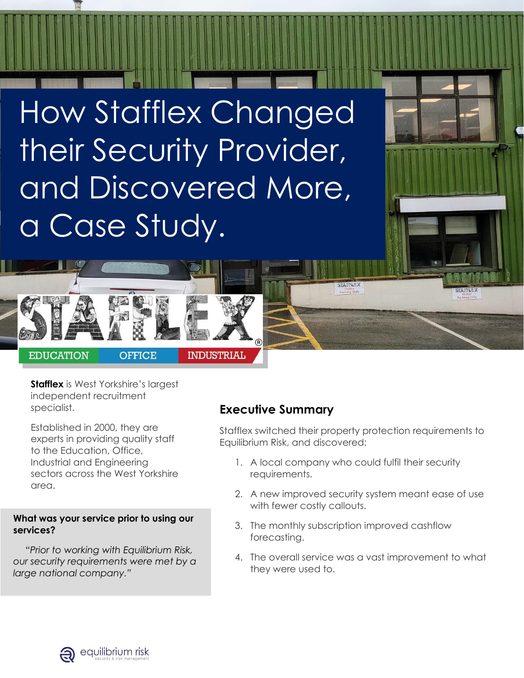How Stafflex Changed their Security Provider, and Discovered More, a Case Study.



**[Stafflex](https://www.stafflex.co.uk/)** is West Yorkshire's largest independent recruitment specialist.

Established in 2000, they are experts in providing quality staff to the Education, Office, Industrial and Engineering sectors across the West Yorkshire area.

#### **What was your service prior to using our services?**

*"Prior to working with Equilibrium Risk, our security requirements were met by a large national company."*

## **Executive Summary**

Stafflex switched their property protection requirements to Equilibrium Risk, and discovered:

**STARY LA** 

- 1. A local company who could fulfil their security requirements.
- 2. A new improved security system meant ease of use with fewer costly callouts.
- 3. The monthly subscription improved cashflow forecasting.
- 4. The overall service was a vast improvement to what they were used to.